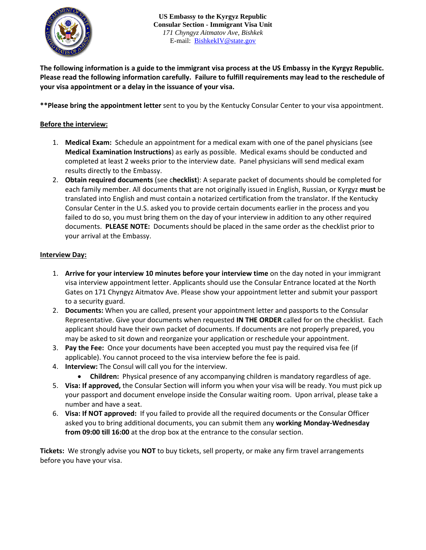

**The following information is a guide to the immigrant visa process at the US Embassy in the Kyrgyz Republic. Please read the following information carefully. Failure to fulfill requirements may lead to the reschedule of your visa appointment or a delay in the issuance of your visa.**

**\*\*Please bring the appointment letter** sent to you by the Kentucky Consular Center to your visa appointment.

### **Before the interview:**

- 1. **Medical Exam:** Schedule an appointment for a medical exam with one of the panel physicians (see **Medical Examination Instructions**) as early as possible. Medical exams should be conducted and completed at least 2 weeks prior to the interview date. Panel physicians will send medical exam results directly to the Embassy.
- 2. **Obtain required documents** (see c**hecklist**): A separate packet of documents should be completed for each family member. All documents that are not originally issued in English, Russian, or Kyrgyz **must** be translated into English and must contain a notarized certification from the translator. If the Kentucky Consular Center in the U.S. asked you to provide certain documents earlier in the process and you failed to do so, you must bring them on the day of your interview in addition to any other required documents. **PLEASE NOTE:** Documents should be placed in the same order as the checklist prior to your arrival at the Embassy.

#### **Interview Day:**

- 1. **Arrive for your interview 10 minutes before your interview time** on the day noted in your immigrant visa interview appointment letter. Applicants should use the Consular Entrance located at the North Gates on 171 Chyngyz Aitmatov Ave. Please show your appointment letter and submit your passport to a security guard.
- 2. **Documents:** When you are called, present your appointment letter and passports to the Consular Representative. Give your documents when requested **IN THE ORDER** called for on the checklist. Each applicant should have their own packet of documents. If documents are not properly prepared, you may be asked to sit down and reorganize your application or reschedule your appointment.
- 3. **Pay the Fee:** Once your documents have been accepted you must pay the required visa fee (if applicable). You cannot proceed to the visa interview before the fee is paid.
- 4. **Interview:** The Consul will call you for the interview.
	- **Children:** Physical presence of any accompanying children is mandatory regardless of age.
- 5. **Visa: If approved,** the Consular Section will inform you when your visa will be ready. You must pick up your passport and document envelope inside the Consular waiting room. Upon arrival, please take a number and have a seat.
- 6. **Visa: If NOT approved:** If you failed to provide all the required documents or the Consular Officer asked you to bring additional documents, you can submit them any **working Monday-Wednesday from 09:00 till 16:00** at the drop box at the entrance to the consular section.

**Tickets:** We strongly advise you **NOT** to buy tickets, sell property, or make any firm travel arrangements before you have your visa.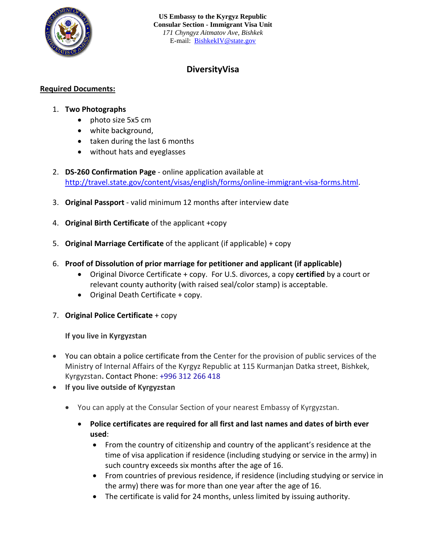

## **DiversityVisa**

### **Required Documents:**

### 1. **Two Photographs**

- photo size 5x5 cm
- white background,
- taken during the last 6 months
- without hats and eyeglasses
- 2. **DS-260 Confirmation Page** online application available at [http://travel.state.gov/content/visas/english/forms/online-immigrant-visa-forms.html.](http://travel.state.gov/content/visas/english/forms/online-immigrant-visa-forms.html)
- 3. **Original Passport** valid minimum 12 months after interview date
- 4. **Original Birth Certificate** of the applicant +copy
- 5. **Original Marriage Certificate** of the applicant (if applicable) + copy
- 6. **Proof of Dissolution of prior marriage for petitioner and applicant (if applicable)**
	- Original Divorce Certificate + copy. For U.S. divorces, a copy **certified** by a court or relevant county authority (with raised seal/color stamp) is acceptable.
	- Original Death Certificate + copy.
- 7. **Original Police Certificate** + copy

**If you live in Kyrgyzstan**

- You can obtain a police certificate from the Center for the provision of public services of the Ministry of Internal Affairs of the Kyrgyz Republic at 115 Kurmanjan Datka street, Bishkek, Kyrgyzstan**.** Contact Phone: [+996 312 266 418](https://www.google.com/search?q=%D0%A6%D0%B5%D0%BD%D1%82%D1%80+%D0%BF%D1%80%D0%B5%D0%B4%D0%BE%D1%81%D1%82%D0%B0%D0%B2%D0%BB%D0%B5%D0%BD%D0%B8%D1%8F+%D0%B3%D0%BE%D1%81%D1%83%D0%B4%D0%B0%D1%80%D1%81%D1%82%D0%B2%D0%B5%D0%BD%D0%BD%D1%8B%D1%85+%D1%83%D1%81%D0%BB%D1%83%D0%B3+%D0%9C%D0%92%D0%94+%D0%BA%D1%80&rlz=1C1GCEA_enUS973US973&oq=%D0%A6%D0%B5%D0%BD%D1%82%D1%80+%D0%BF%D1%80%D0%B5%D0%B4%D0%BE%D1%81%D1%82%D0%B0%D0%B2%D0%BB%D0%B5%D0%BD%D0%B8%D1%8F+%D0%B3%D0%BE%D1%81%D1%83%D0%B4%D0%B0%D1%80%D1%81%D1%82%D0%B2%D0%B5%D0%BD%D0%BD%D1%8B%D1%85+%D1%83%D1%81%D0%BB%D1%83%D0%B3+%D0%9C%D0%92%D0%94+%D0%BA%D1%80&aqs=chrome..69i57.18957j0j15&sourceid=chrome&ie=UTF-8)
- **If you live outside of Kyrgyzstan**
	- You can apply at the Consular Section of your nearest Embassy of Kyrgyzstan.
		- **Police certificates are required for all first and last names and dates of birth ever used**:
			- From the country of citizenship and country of the applicant's residence at the time of visa application if residence (including studying or service in the army) in such country exceeds six months after the age of 16.
			- From countries of previous residence, if residence (including studying or service in the army) there was for more than one year after the age of 16.
			- The certificate is valid for 24 months, unless limited by issuing authority.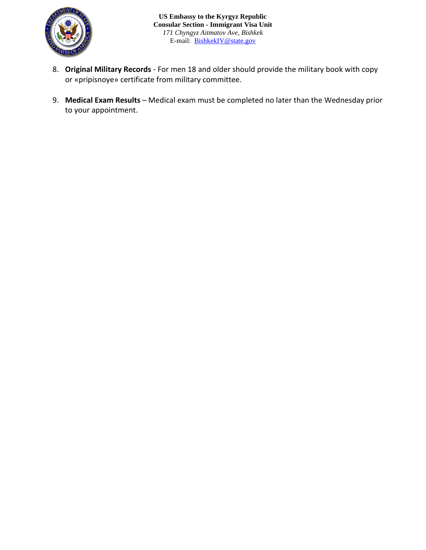

- 8. **Original Military Records** For men 18 and older should provide the military book with copy or «pripisnoye» certificate from military committee.
- 9. **Medical Exam Results** Medical exam must be completed no later than the Wednesday prior to your appointment.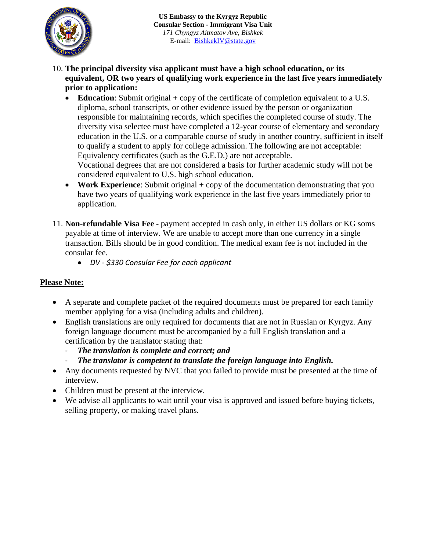

- 10. **The principal diversity visa applicant must have a high school education, or its equivalent, OR two years of qualifying work experience in the last five years immediately prior to application:**
	- **Education**: Submit original + copy of the certificate of completion equivalent to a U.S. diploma, school transcripts, or other evidence issued by the person or organization responsible for maintaining records, which specifies the completed course of study. The diversity visa selectee must have completed a 12-year course of elementary and secondary education in the U.S. or a comparable course of study in another country, sufficient in itself to qualify a student to apply for college admission. The following are not acceptable: Equivalency certificates (such as the G.E.D.) are not acceptable.

Vocational degrees that are not considered a basis for further academic study will not be considered equivalent to U.S. high school education.

- **Work Experience**: Submit original + copy of the documentation demonstrating that you have two years of qualifying work experience in the last five years immediately prior to application.
- 11. **Non-refundable Visa Fee** payment accepted in cash only, in either US dollars or KG soms payable at time of interview. We are unable to accept more than one currency in a single transaction. Bills should be in good condition. The medical exam fee is not included in the consular fee.
	- *DV - \$330 Consular Fee for each applicant*

## **Please Note:**

- A separate and complete packet of the required documents must be prepared for each family member applying for a visa (including adults and children).
- English translations are only required for documents that are not in Russian or Kyrgyz. Any foreign language document must be accompanied by a full English translation and a certification by the translator stating that:
	- *The translation is complete and correct; and*
	- *The translator is competent to translate the foreign language into English.*
- Any documents requested by NVC that you failed to provide must be presented at the time of interview.
- Children must be present at the interview.
- We advise all applicants to wait until your visa is approved and issued before buying tickets, selling property, or making travel plans.